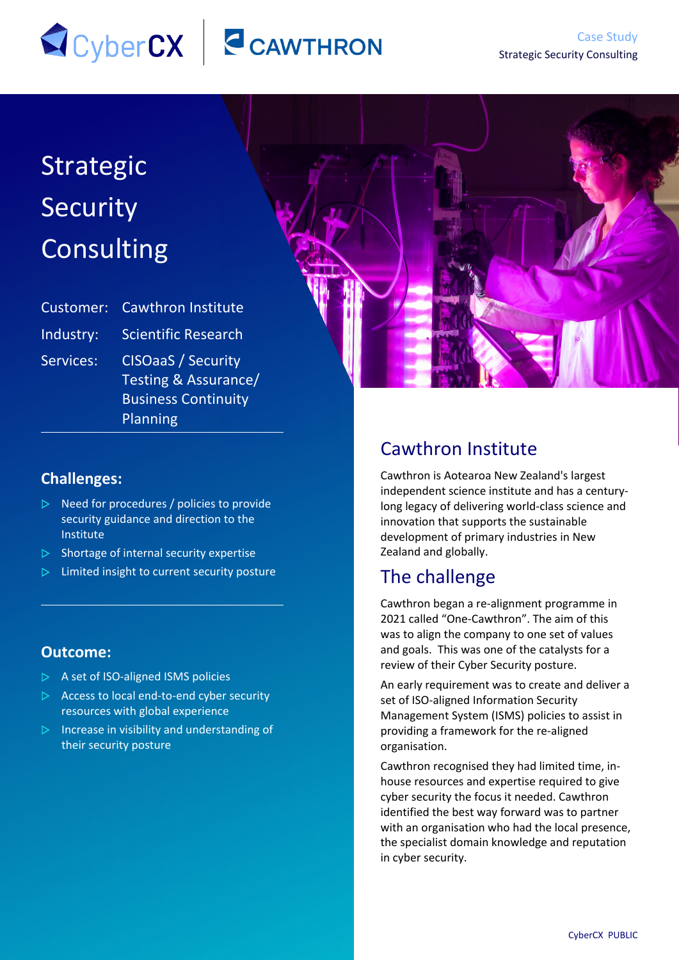# SCyberCX CAWTHRON

# Strategic Security Consulting

| Customer: | <b>Cawthron Institute</b>                                                                   |
|-----------|---------------------------------------------------------------------------------------------|
| Industry: | <b>Scientific Research</b>                                                                  |
| Services: | <b>CISOaaS / Security</b><br>Testing & Assurance/<br><b>Business Continuity</b><br>Planning |

#### **Challenges:**

- $\triangleright$  Need for procedures / policies to provide security guidance and direction to the Institute
- $\triangleright$  Shortage of internal security expertise
- $\triangleright$  Limited insight to current security posture

#### **Outcome:**

- $\triangleright$  A set of ISO-aligned ISMS policies
- $\triangleright$  Access to local end-to-end cyber security resources with global experience
- $\triangleright$  Increase in visibility and understanding of their security posture

### Cawthron Institute

Cawthron is Aotearoa New Zealand's largest independent science institute and has a centurylong legacy of delivering world-class science and innovation that supports the sustainable development of primary industries in New Zealand and globally.

## The challenge

Cawthron began a re-alignment programme in 2021 called "One-Cawthron". The aim of this was to align the company to one set of values and goals. This was one of the catalysts for a review of their Cyber Security posture.

An early requirement was to create and deliver a set of ISO-aligned Information Security Management System (ISMS) policies to assist in providing a framework for the re-aligned organisation.

Cawthron recognised they had limited time, inhouse resources and expertise required to give cyber security the focus it needed. Cawthron identified the best way forward was to partner with an organisation who had the local presence, the specialist domain knowledge and reputation in cyber security.